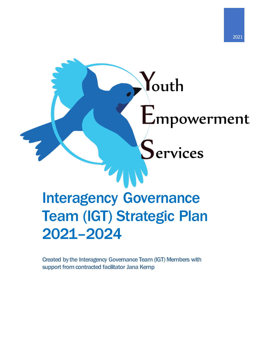# Youth Empowerment ervices Interagency Governance Team (IGT) Strategic Plan 2021–2024

Created by the Interagency Governance Team (IGT) Members with support from contracted facilitator Jana Kemp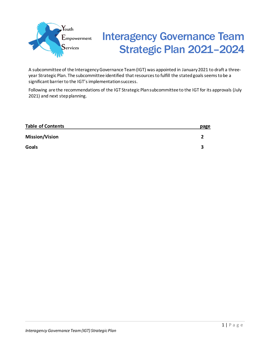

# Interagency Governance Team Strategic Plan 2021–2024

A subcommittee of the Interagency Governance Team (IGT) was appointed in January 2021 to draft a threeyear Strategic Plan. The subcommittee identified that resources to fulfill the stated goals seems to be a significant barrier to the IGT's implementation success.

Following are the recommendations of the IGT Strategic Plan subcommittee to the IGT for its approvals (July 2021) and next step planning.

| <b>Table of Contents</b> | page |
|--------------------------|------|
| <b>Mission/Vision</b>    |      |
| <b>Goals</b>             |      |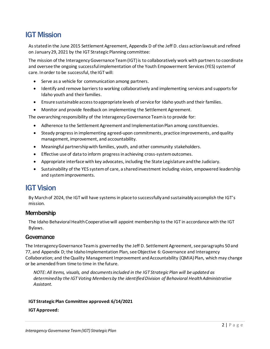# IGT Mission

As stated in the June 2015 Settlement Agreement, Appendix D of the Jeff D. class action lawsuit and refined on January 29, 2021 by the IGT Strategic Planning committee:

The mission of the Interagency Governance Team (IGT) is to collaboratively work with partners to coordinate and oversee the ongoing successful implementation of the Youth Empowerment Services (YES) system of care. In order to be successful, the IGT will:

- Serve as a vehicle for communication among partners.
- Identify and remove barriers to working collaboratively and implementing services and supports for Idaho youth and their families.
- Ensure sustainable access to appropriate levels of service for Idaho youth and their families.
- Monitor and provide feedback on implementing the Settlement Agreement.

The overarching responsibility of the Interagency Governance Team is to provide for:

- Adherence to the Settlement Agreement and Implementation Plan among constituencies.
- Steady progress in implementing agreed-upon commitments, practice improvements, and quality management, improvement, and accountability.
- Meaningful partnership with families, youth, and other community stakeholders.
- Effective use of data to inform progress in achieving cross-system outcomes.
- Appropriate interface with key advocates, including the State Legislature and the Judiciary.
- Sustainability of the YES system of care, a shared investment including vision, empowered leadership and system improvements.

# IGT Vision

By March of 2024, the IGT will have systems in place to successfully and sustainably accomplish the IGT's mission.

# **Membership**

The Idaho Behavioral Health Cooperative will appoint membership to the IGT in accordance with the IGT Bylaws.

# **Governance**

The Interagency Governance Team is governed by the Jeff D. Settlement Agreement, see paragraphs 50 and 77, and Appendix D; the Idaho Implementation Plan, see Objective 6: Governance and Interagency Collaboration; and the Quality Management Improvement and Accountability (QMIA) Plan, which may change or be amended from time to time in the future.

*NOTE: All items, visuals, and documents included in the IGT Strategic Plan will be updated as determined by the IGT Voting Membersby the identified Division of Behavioral Health Administrative Assistant.* 

### **IGT Strategic Plan Committee approved: 6/14/2021**

### **IGT Approved:**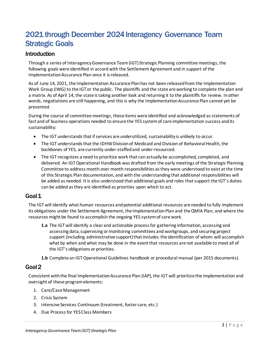# 2021 through December 2024 Interagency Governance Team Strategic Goals

# **Introduction**

Through a series of Interagency Governance Team (IGT) Strategic Planning committee meetings, the following goals were identified in accord with the Settlement Agreement and in support of the Implementation Assurance Plan once it is released.

As of June 14, 2021, the Implementation Assurance Plan has not been released from the Implementation Work Group (IWG) to the IGT or the public. The plaintiffs and the state are working to complete the plan and a matrix. As of April 14, the state is taking another look and returning it to the plaintiffs for review. In other words, negotiations are still happening, and this is why the Implementation Assurance Plan cannot yet be presented.

During the course of committee meetings, these items were identified and acknowledged as statements of fact and of business operations needed to ensure the YES system of care implementation success and its sustainability:

- The IGT understands that if services are underutilized, sustainability is unlikely to occur.
- The IGT understands that the IDHW Division of Medicaid and Division of Behavioral Health, the backbones of YES, are currently under-staffed and under-resourced.
- The IGT recognizes a need to prioritize work that can actually be accomplished, completed, and delivered. An IGT Operational Handbook was drafted from the early meetings of the Strategic Planning Committee to address month over month responsibilities as they were understood to exist at the time of this Strategic Plan documentation, and with the understanding that additional responsibilities will be added as needed. It is also understood that additional goals and roles that support the IGT's duties can be added as they are identified as priorities upon which to act.

# Goal 1

The IGT will identify what human resources and potential additional resources are needed to fully implement its obligations under the Settlement Agreement, the Implementation Plan and the QMIA Plan; and where the resources might be found to accomplish the ongoing YES system of care work*.*

- **1.a** The IGT will identify a clear and actionable process for gathering information, accessing and assessing data, supervising or monitoring committees and workgroups, and securing project support (including administrative support) that includes the identification of whom will accomplish what by when and what may be done in the event that resources are not available to meet all of the IGT's obligations or priorities.
- **1.b** Complete an IGT Operational Guidelines handbook or procedural manual (per 2015 documents).

# Goal 2

Consistent with the final Implementation Assurance Plan (IAP), the IGT will prioritize the implementation and oversight of these program elements:

- 1. Care/Case Management
- 2. Crisis System
- 3. Intensive Services Continuum (treatment, foster care, etc.)
- 4. Due Process for YES Class Members